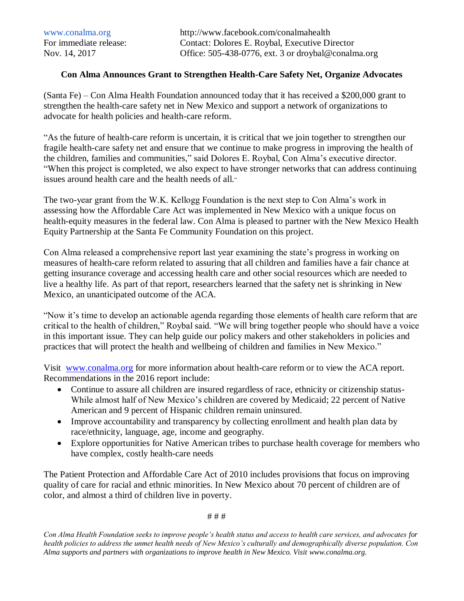## **Con Alma Announces Grant to Strengthen Health-Care Safety Net, Organize Advocates**

(Santa Fe) – Con Alma Health Foundation announced today that it has received a \$200,000 grant to strengthen the health-care safety net in New Mexico and support a network of organizations to advocate for health policies and health-care reform.

"As the future of health-care reform is uncertain, it is critical that we join together to strengthen our fragile health-care safety net and ensure that we continue to make progress in improving the health of the children, families and communities," said Dolores E. Roybal, Con Alma's executive director. "When this project is completed, we also expect to have stronger networks that can address continuing issues around health care and the health needs of all."

The two-year grant from the W.K. Kellogg Foundation is the next step to Con Alma's work in assessing how the Affordable Care Act was implemented in New Mexico with a unique focus on health-equity measures in the federal law. Con Alma is pleased to partner with the New Mexico Health Equity Partnership at the Santa Fe Community Foundation on this project.

Con Alma released a comprehensive report last year examining the state's progress in working on measures of health-care reform related to assuring that all children and families have a fair chance at getting insurance coverage and accessing health care and other social resources which are needed to live a healthy life. As part of that report, researchers learned that the safety net is shrinking in New Mexico, an unanticipated outcome of the ACA.

"Now it's time to develop an actionable agenda regarding those elements of health care reform that are critical to the health of children," Roybal said. "We will bring together people who should have a voice in this important issue. They can help guide our policy makers and other stakeholders in policies and practices that will protect the health and wellbeing of children and families in New Mexico."

Visit [www.conalma.org](http://www.conalma.org/) for more information about health-care reform or to view the ACA report. Recommendations in the 2016 report include:

- Continue to assure all children are insured regardless of race, ethnicity or citizenship status-While almost half of New Mexico's children are covered by Medicaid; 22 percent of Native American and 9 percent of Hispanic children remain uninsured.
- Improve accountability and transparency by collecting enrollment and health plan data by race/ethnicity, language, age, income and geography.
- Explore opportunities for Native American tribes to purchase health coverage for members who have complex, costly health-care needs

The Patient Protection and Affordable Care Act of 2010 includes provisions that focus on improving quality of care for racial and ethnic minorities. In New Mexico about 70 percent of children are of color, and almost a third of children live in poverty.

# # #

*Con Alma Health Foundation seeks to improve people's health status and access to health care services, and advocates for health policies to address the unmet health needs of New Mexico's culturally and demographically diverse population. Con Alma supports and partners with organizations to improve health in New Mexico. Visit [www.conalma.org.](http://r20.rs6.net/tn.jsp?e=0013mNLSSnc0DT87-wWCEnIea-IN13zBHSPfItyIFN3fWrHI10oO6Dzms8hcU1BHdAPYdO6uCJxqgE7OKzkeexX86SrFs1qE-bwRtGlNPEAiD0=)*